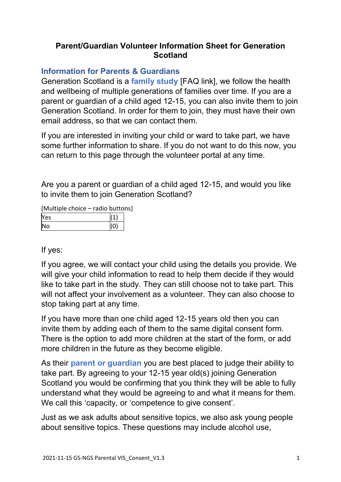## **Parent/Guardian Volunteer Information Sheet for Generation Scotland**

# **Information for Parents & Guardians**

Generation Scotland is a **family study** [FAQ link], we follow the health and wellbeing of multiple generations of families over time. If you are a parent or guardian of a child aged 12-15, you can also invite them to join Generation Scotland. In order for them to join, they must have their own email address, so that we can contact them.

If you are interested in inviting your child or ward to take part, we have some further information to share. If you do not want to do this now, you can return to this page through the volunteer portal at any time.

Are you a parent or guardian of a child aged 12-15, and would you like to invite them to join Generation Scotland?

[Multiple choice – radio buttons]

| Yes |  |
|-----|--|
| No  |  |

If yes:

If you agree, we will contact your child using the details you provide. We will give your child information to read to help them decide if they would like to take part in the study. They can still choose not to take part. This will not affect your involvement as a volunteer. They can also choose to stop taking part at any time.

If you have more than one child aged 12-15 years old then you can invite them by adding each of them to the same digital consent form. There is the option to add more children at the start of the form, or add more children in the future as they become eligible.

As their **parent or guardian** you are best placed to judge their ability to take part. By agreeing to your 12-15 year old(s) joining Generation Scotland you would be confirming that you think they will be able to fully understand what they would be agreeing to and what it means for them. We call this 'capacity, or 'competence to give consent'.

Just as we ask adults about sensitive topics, we also ask young people about sensitive topics. These questions may include alcohol use,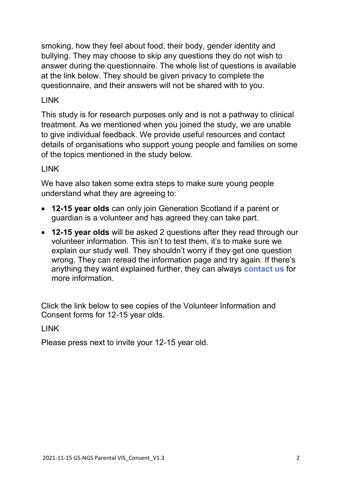smoking, how they feel about food, their body, gender identity and bullying. They may choose to skip any questions they do not wish to answer during the questionnaire. The whole list of questions is available at the link below. They should be given privacy to complete the questionnaire, and their answers will not be shared with to you.

## LINK

This study is for research purposes only and is not a pathway to clinical treatment. As we mentioned when you joined the study, we are unable to give individual feedback. We provide useful resources and contact details of organisations who support young people and families on some of the topics mentioned in the study below.

### LINK

We have also taken some extra steps to make sure young people understand what they are agreeing to:

- **12-15 year olds** can only join Generation Scotland if a parent or guardian is a volunteer and has agreed they can take part.
- **12-15 year olds** will be asked 2 questions after they read through our volunteer information. This isn't to test them, it's to make sure we explain our study well. They shouldn't worry if they get one question wrong. They can reread the information page and try again. If there's anything they want explained further, they can always **contact us** for more information.

Click the link below to see copies of the Volunteer Information and Consent forms for 12-15 year olds.

### LINK

Please press next to invite your 12-15 year old.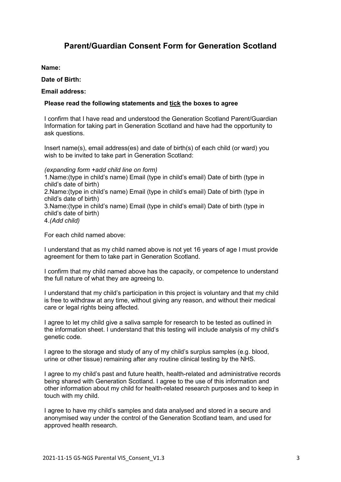### **Parent/Guardian Consent Form for Generation Scotland**

**Name:**

**Date of Birth:**

**Email address:**

#### **Please read the following statements and tick the boxes to agree**

I confirm that I have read and understood the Generation Scotland Parent/Guardian Information for taking part in Generation Scotland and have had the opportunity to ask questions.

Insert name(s), email address(es) and date of birth(s) of each child (or ward) you wish to be invited to take part in Generation Scotland:

*(expanding form +add child line on form)* 1.Name:(type in child's name) Email (type in child's email) Date of birth (type in child's date of birth) 2.Name:(type in child's name) Email (type in child's email) Date of birth (type in child's date of birth) 3.Name:(type in child's name) Email (type in child's email) Date of birth (type in child's date of birth) 4.*(Add child)*

For each child named above:

I understand that as my child named above is not yet 16 years of age I must provide agreement for them to take part in Generation Scotland.

I confirm that my child named above has the capacity, or competence to understand the full nature of what they are agreeing to.

I understand that my child's participation in this project is voluntary and that my child is free to withdraw at any time, without giving any reason, and without their medical care or legal rights being affected.

I agree to let my child give a saliva sample for research to be tested as outlined in the information sheet. I understand that this testing will include analysis of my child's genetic code.

I agree to the storage and study of any of my child's surplus samples (e.g. blood, urine or other tissue) remaining after any routine clinical testing by the NHS.

I agree to my child's past and future health, health-related and administrative records being shared with Generation Scotland. I agree to the use of this information and other information about my child for health-related research purposes and to keep in touch with my child.

I agree to have my child's samples and data analysed and stored in a secure and anonymised way under the control of the Generation Scotland team, and used for approved health research.